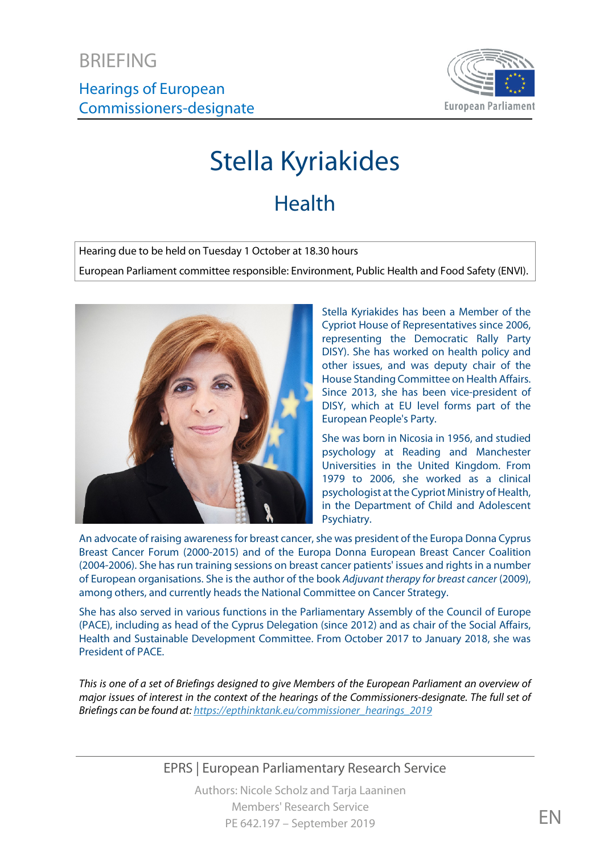Hearings of European Commissioners-designate



# Stella Kyriakides

## **Health**

Hearing due to be held on Tuesday 1 October at 18.30 hours

European Parliament committee responsible: Environment, Public Health and Food Safety (ENVI).



Stella Kyriakides has been a Member of the Cypriot House of Representatives since 2006, representing the Democratic Rally Party DISY). She has worked on health policy and other issues, and was deputy chair of the House Standing Committee on Health Affairs. Since 2013, she has been vice-president of DISY, which at EU level forms part of the European People's Party.

She was born in Nicosia in 1956, and studied psychology at Reading and Manchester Universities in the United Kingdom. From 1979 to 2006, she worked as a clinical psychologist at the Cypriot Ministry of Health, in the Department of Child and Adolescent Psychiatry.

An advocate of raising awareness for breast cancer, she was president of the Europa Donna Cyprus Breast Cancer Forum (2000-2015) and of the Europa Donna European Breast Cancer Coalition (2004-2006). She has run training sessions on breast cancer patients' issues and rights in a number of European organisations. She is the author of the book *Adjuvant therapy for breast cancer* (2009), among others, and currently heads the National Committee on Cancer Strategy.

She has also served in various functions in the Parliamentary Assembly of the Council of Europe (PACE), including as head of the Cyprus Delegation (since 2012) and as chair of the Social Affairs, Health and Sustainable Development Committee. From October 2017 to January 2018, she was President of PACE.

*This is one of a set of Briefings designed to give Members of the European Parliament an overview of major issues of interest in the context of the hearings of the Commissioners-designate. The full set of Briefings can be found at[: https://epthinktank.eu/commissioner\\_hearings\\_2019](https://epthinktank.eu/commissioner_hearings_2019)*

EPRS | European Parliamentary Research Service

Authors: Nicole Scholz and Tarja Laaninen Members' Research Service PE 642.197 – September 2019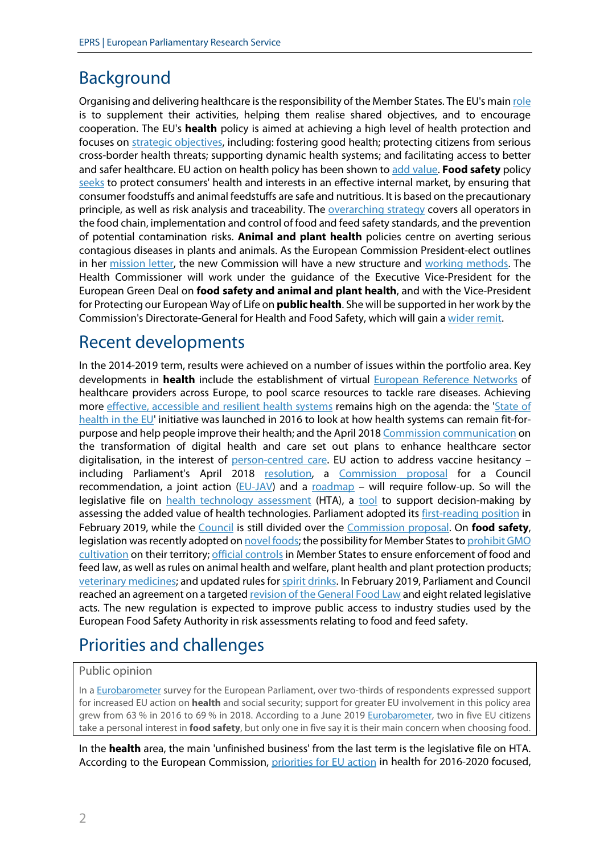## Background

Organising and delivering healthcare is the responsibility of the Member States. The EU's mai[n role](https://ec.europa.eu/info/policies/public-health_en) is to supplement their activities, helping them realise shared objectives, and to encourage cooperation. The EU's **health** policy is aimed at achieving a high level of health protection and focuses on [strategic objectives,](http://www.europarl.europa.eu/factsheets/en/sheet/49/public-health) including: fostering good health; protecting citizens from serious cross-border health threats; supporting dynamic health systems; and facilitating access to better and safer healthcare. EU action on health policy has been shown t[o add value.](http://www.europarl.europa.eu/thinktank/en/document.html?reference=EPRS_STU(2019)631729) **Food safety** policy [seeks](https://ec.europa.eu/info/strategy/food-safety_en) to protect consumers' health and interests in an effective internal market, by ensuring that consumer foodstuffs and animal feedstuffs are safe and nutritious. It is based on the precautionary principle, as well as risk analysis and traceability. The [overarching strategy](https://www.europarl.europa.eu/factsheets/en/sheet/51/food-safety) covers all operators in the food chain, implementation and control of food and feed safety standards, and the prevention of potential contamination risks. **Animal and plant health** policies centre on averting serious contagious diseases in plants and animals. As the European Commission President-elect outlines in her [mission letter,](https://ec.europa.eu/commission/files/stella-kyriakides-mission-letter_en) the new Commission will have a new structure and [working methods.](https://ec.europa.eu/commission/sites/beta-political/files/working-methods-principles_en.pdf) The Health Commissioner will work under the guidance of the Executive Vice-President for the European Green Deal on **food safety and animal and plant health**, and with the Vice-President for Protecting our European Way of Life on **public health**. She will be supported in her work by the Commission's Directorate-General for Health and Food Safety, which will gain a [wider remit.](https://ec.europa.eu/commission/sites/beta-political/files/allocation-portfolios-supporting-services_en.pdf)

## Recent developments

In the 2014-2019 term, results were achieved on a number of issues within the portfolio area. Key developments in **health** include the establishment of virtual [European Reference Networks](https://ec.europa.eu/health/sites/health/files/ern/docs/2017_brochure_en.pdf) of healthcare providers across Europe, to pool scarce resources to tackle rare diseases. Achieving more [effective, accessible and resilient health systems](https://ec.europa.eu/health/sites/health/files/healthcare/docs/com2014_215_final_en.pdf) remains high on the agenda: the ['State of](https://ec.europa.eu/health/state/summary_en)  [health in the EU'](https://ec.europa.eu/health/state/summary_en) initiative was launched in 2016 to look at how health systems can remain fit-for-purpose and help people improve their health; and the April 201[8 Commission communication](http://eur-lex.europa.eu/legal-content/EN/TXT/?uri=COM:2018:233:FIN) on the transformation of digital health and care set out plans to enhance healthcare sector digitalisation, in the interest of [person-centred care.](https://eur-lex.europa.eu/legal-content/EN/ALL/?uri=CELEX%3A52016IR5493) EU action to address vaccine hesitancy including Parliament's April 2018 [resolution,](http://www.europarl.europa.eu/sides/getDoc.do?type=TA&language=EN&reference=P8-TA-2018-0188) a [Commission proposal](https://ec.europa.eu/health/sites/health/files/vaccination/docs/com2018_2442_en.pdf) for a Council recommendation, a joint action  $(EU-JAV)$  and a [roadmap](https://ec.europa.eu/health/sites/health/files/vaccination/docs/2019-2022_roadmap_en.pdf) – will require follow-up. So will the legislative file on [health technology assessment](https://oeil.secure.europarl.europa.eu/oeil/popups/ficheprocedure.do?reference=2018/0018%28COD%29&l=en) (HTA), a [tool](http://www.europarl.europa.eu/thinktank/en/document.html?reference=EPRS_BRI%282016%29589861) to support decision-making by assessing the added value of health technologies. Parliament adopted it[s first-reading position](https://www.europarl.europa.eu/doceo/document/TA-8-2019-0120_EN.html?redirect) in February 2019, while the [Council](https://www.consilium.europa.eu/en/policies/health-technology-assessment-post-2020/) is still divided over the [Commission proposal.](http://www.europarl.europa.eu/RegData/docs_autres_institutions/commission_europeenne/com/2018/0051/COM_COM(2018)0051_EN.pdf) On **food safety**, legislation was recently adopted on [novel foods;](https://oeil.secure.europarl.europa.eu/oeil/popups/ficheprocedure.do?reference=2013/0435(COD)&l=en) the possibility for Member States to [prohibit](https://oeil.secure.europarl.europa.eu/oeil/popups/ficheprocedure.do?reference=2010/0208(COD)&l=en) GMO [cultivation](https://oeil.secure.europarl.europa.eu/oeil/popups/ficheprocedure.do?reference=2010/0208(COD)&l=en) on their territory; [official controls](https://oeil.secure.europarl.europa.eu/oeil/popups/ficheprocedure.do?reference=2013/0140(COD)&l=en) in Member States to ensure enforcement of food and feed law, as well as rules on animal health and welfare, plant health and plant protection products; [veterinary medicines;](https://oeil.secure.europarl.europa.eu/oeil/popups/ficheprocedure.do?lang=en&reference=2014/0257%28COD%29) and updated rules fo[r spirit drinks.](https://oeil.secure.europarl.europa.eu/oeil/popups/ficheprocedure.do?reference=2016/0392(COD)&l=en) In February 2019, Parliament and Council reached an agreement on a targete[d revision of the General Food Law](https://www.europarl.europa.eu/thinktank/en/document.html?reference=EPRS_BRI(2018)630315) and eight related legislative acts. The new regulation is expected to improve public access to industry studies used by the European Food Safety Authority in risk assessments relating to food and feed safety.

## Priorities and challenges

#### Public opinion

In [a Eurobarometer](https://www.europarl.europa.eu/at-your-service/files/be-heard/eurobarometer/2018/delivering_on_europe_citizens_views_on_current_and_future_eu_action/report.pdf) survey for the European Parliament, over two-thirds of respondents expressed support for increased EU action on **health** and social security; support for greater EU involvement in this policy area grew from 63 % in 2016 to 69 % in 2018. According to a June 2019 [Eurobarometer,](https://www.efsa.europa.eu/en/press/news/190607) two in five EU citizens take a personal interest in **food safety**, but only one in five say it is their main concern when choosing food.

In the **health** area, the main 'unfinished business' from the last term is the legislative file on HTA. According to the European Commission, [priorities for EU action](https://ec.europa.eu/health/policies/overview_en) in health for 2016-2020 focused,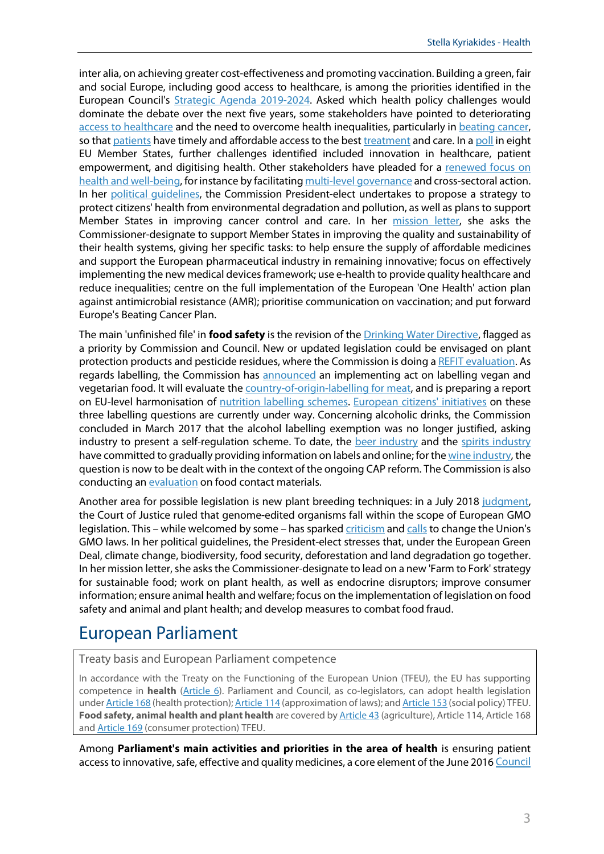inter alia, on achieving greater cost-effectiveness and promoting vaccination. Building a green, fair and social Europe, including good access to healthcare, is among the priorities identified in the European Council's [Strategic Agenda 2019-2024.](https://www.consilium.europa.eu/media/39914/a-new-strategic-agenda-2019-2024.pdf) Asked which health policy challenges would dominate the debate over the next five years, some stakeholders have pointed to deteriorating [access to healthcare](https://gcap.global/news/gcap-54-ngos-urge-european-heads-of-state-at-sibiu-summit-to-nominate-a-visionary-new-european-commisisoon/) and the need to overcome health inequalities, particularly i[n beating cancer,](https://www.europeancancerleagues.org/mac-manifesto-2019/) so tha[t patients](http://www.ecpc.org/pressroom/news/policy-and-advocacy/a-europe-for-cancer-patients-survivors-and-carers-manifesto-for-the-european-elections-2019) have timely and affordable access to the bes[t treatment](https://www.anticancerfund.org/sites/default/files/attachments/acf_manifesto_19_v3.9_final.pdf) and care. In a [poll](https://www.incisivehealth.com/wp-content/uploads/2019/05/More-EU-action-in-health-Report-EMAILWEB.pdf) in eight EU Member States, further challenges identified included innovation in healthcare, patient empowerment, and digitising health. Other stakeholders have pleaded for a renewed focus on [health and well-being,](https://g8fip1kplyr33r3krz5b97d1-wpengine.netdna-ssl.com/wp-content/uploads/2019/05/SibiuOpenLetterApprovedFINALformatted.pdf) for instance by facilitatin[g multi-level governance](https://portal.cor.europa.eu/mlgcharter/Pages/default.aspx) and cross-sectoral action. In her [political guidelines,](https://ec.europa.eu/commission/sites/beta-political/files/political-guidelines-next-commission_en.pdf) the Commission President-elect undertakes to propose a strategy to protect citizens' health from environmental degradation and pollution, as well as plans to support Member States in improving cancer control and care. In her [mission letter,](https://ec.europa.eu/commission/files/stella-kyriakides-mission-letter_en) she asks the Commissioner-designate to support Member States in improving the quality and sustainability of their health systems, giving her specific tasks: to help ensure the supply of affordable medicines and support the European pharmaceutical industry in remaining innovative; focus on effectively implementing the new medical devicesframework; use e-health to provide quality healthcare and reduce inequalities; centre on the full implementation of the European 'One Health' action plan against antimicrobial resistance (AMR); prioritise communication on vaccination; and put forward Europe's Beating Cancer Plan.

The main 'unfinished file' in **food safety** is the revision of th[e Drinking Water Directive,](https://oeil.secure.europarl.europa.eu/oeil/popups/ficheprocedure.do?reference=2017/0332(COD)&l=en) flagged as a priority by Commission and Council. New or updated legislation could be envisaged on plant protection products and pesticide residues, where the Commission is doing a [REFIT evaluation.](https://ec.europa.eu/food/plant/pesticides/refit_en) As regards labelling, the Commission has [announced](https://ec.europa.eu/info/sites/info/files/regulatory-fitness-and-performance-programme-refit-scoreboard-summary_en_3.pdf) an implementing act on labelling vegan and vegetarian food. It will evaluate the [country-of-origin-labelling for meat,](https://ec.europa.eu/info/law/better-regulation/initiatives/ares-2018-3112936_en) and is preparing a report on EU-level harmonisation of [nutrition labelling schemes.](https://ec.europa.eu/food/sites/food/files/safety/docs/comm_oc_20181022_sum.pdf) [European citizens' initiatives](https://ec.europa.eu/citizens-initiative/public/basic-facts) on these three labelling questions are currently under way. Concerning alcoholic drinks, the Commission concluded in March 2017 that the alcohol labelling exemption was no longer justified, asking industry to present a self-regulation scheme. To date, the [beer industry](https://brewersofeurope.org/site/media-centre/post.php?doc_id=976) and the [spirits industry](https://spirits.eu/media/press-releases/consumer-information-european-producers-sign-memorandum-of-understanding-to-provide-energy-value-on-spirit-drinks) have committed to gradually providing information on labels and online; for th[e wine industry,](https://www.ceev.eu/news-events-press-releases/press-releases/item/1821-cap-reform-ceev-welcomes-the-outcome-of-the-european-parliament-vote-a-good-but-not-perfect-legacy-for-the-next-ep) the question is now to be dealt with in the context of the ongoing CAP reform. The Commission is also conducting an [evaluation](https://ec.europa.eu/food/safety/chemical_safety/food_contact_materials/evaluation_en) on food contact materials.

Another area for possible legislation is new plant breeding techniques: in a July 2018 [judgment,](https://curia.europa.eu/jcms/upload/docs/application/pdf/2018-07/cp180111en.pdf) the Court of Justice ruled that genome-edited organisms fall within the scope of European GMO legislation. This – while welcomed by some – has sparked [criticism](https://ec.europa.eu/info/sites/info/files/2018_11_gcsa_statement_gene_editing_2.pdf) an[d calls](https://www.euractiv.com/section/agriculture-food/news/scientists-warn-eu-policymakers-on-confusing-gene-editing-court-ruling/) to change the Union's GMO laws. In her political guidelines, the President-elect stresses that, under the European Green Deal, climate change, biodiversity, food security, deforestation and land degradation go together. In her mission letter, she asks the Commissioner-designate to lead on a new 'Farm to Fork' strategy for sustainable food; work on plant health, as well as endocrine disruptors; improve consumer information; ensure animal health and welfare; focus on the implementation of legislation on food safety and animal and plant health; and develop measures to combat food fraud.

#### European Parliament

Treaty basis and European Parliament competence

In accordance with the Treaty on the Functioning of the European Union (TFEU), the EU has supporting competence in **health** [\(Article](https://eur-lex.europa.eu/legal-content/EN/TXT/?uri=CELEX:12016E006) 6). Parliament and Council, as co-legislators, can adopt health legislation unde[r Article 168](https://eur-lex.europa.eu/legal-content/EN/TXT/?uri=CELEX:12016E168) (health protection)[; Article](https://eur-lex.europa.eu/legal-content/EN/TXT/?uri=CELEX:12016E114) 114 (approximation of laws); an[d Article 153](https://eur-lex.europa.eu/legal-content/EN/TXT/?uri=CELEX:12016E153) (social policy) TFEU. **Food safety, animal health and plant health** are covered by [Article 43](https://eur-lex.europa.eu/legal-content/EN/TXT/?uri=CELEX:12016E043) (agriculture), Article 114, Article 168 and **Article 169** (consumer protection) TFEU.

Among **Parliament's main activities and priorities in the area of health** is ensuring patient access to innovative, safe, effective and quality medicines, a core element of the June 201[6 Council](http://www.consilium.europa.eu/en/press/press-releases/2016/06/17/epsco-conclusions-balance-pharmaceutical-system/)